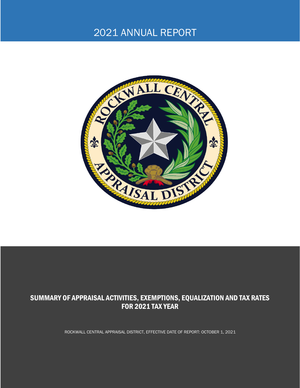# 2021 ANNUAL REPORT



# SUMMARY OF APPRAISAL ACTIVITIES, EXEMPTIONS, EQUALIZATION AND TAX RATES FOR 2021 TAX YEAR

ROCKWALL CENTRAL APPRAISAL DISTRICT, EFFECTIVE DATE OF REPORT: OCTOBER 1, 2021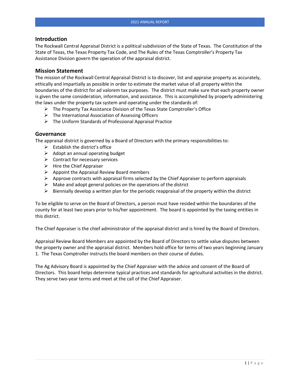#### **Introduction**

The Rockwall Central Appraisal District is a political subdivision of the State of Texas. The Constitution of the State of Texas, the Texas Property Tax Code, and The Rules of the Texas Comptroller's Property Tax Assistance Division govern the operation of the appraisal district.

#### **Mission Statement**

The mission of the Rockwall Central Appraisal District is to discover, list and appraise property as accurately, ethically and impartially as possible in order to estimate the market value of all property within the boundaries of the district for ad valorem tax purposes. The district must make sure that each property owner is given the same consideration, information, and assistance. This is accomplished by properly administering the laws under the property tax system and operating under the standards of:

- $\triangleright$  The Property Tax Assistance Division of the Texas State Comptroller's Office
- ➢ The International Association of Assessing Officers
- ➢ The Uniform Standards of Professional Appraisal Practice

#### **Governance**

The appraisal district is governed by a Board of Directors with the primary responsibilities to:

- $\triangleright$  Establish the district's office
- $\triangleright$  Adopt an annual operating budget
- $\triangleright$  Contract for necessary services
- $\triangleright$  Hire the Chief Appraiser
- $\triangleright$  Appoint the Appraisal Review Board members
- $\triangleright$  Approve contracts with appraisal firms selected by the Chief Appraiser to perform appraisals
- $\triangleright$  Make and adopt general policies on the operations of the district
- $\triangleright$  Biennially develop a written plan for the periodic reappraisal of the property within the district

To be eligible to serve on the Board of Directors, a person must have resided within the boundaries of the county for at least two years prior to his/her appointment. The board is appointed by the taxing entities in this district.

The Chief Appraiser is the chief administrator of the appraisal district and is hired by the Board of Directors.

Appraisal Review Board Members are appointed by the Board of Directors to settle value disputes between the property owner and the appraisal district. Members hold office for terms of two years beginning January 1. The Texas Comptroller instructs the board members on their course of duties.

The Ag Advisory Board is appointed by the Chief Appraiser with the advice and consent of the Board of Directors. This board helps determine typical practices and standards for agricultural activities in the district. They serve two-year terms and meet at the call of the Chief Appraiser.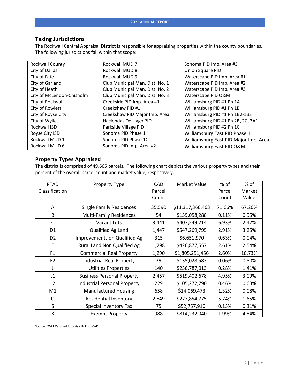#### **Taxing Jurisdictions**

The Rockwall Central Appraisal District is responsible for appraising properties within the county boundaries. The following jurisdictions fall within that scope:

| <b>Rockwall County</b>    | Rockwall MUD 7                  | Sonoma PID Imp. Area #3               |
|---------------------------|---------------------------------|---------------------------------------|
| City of Dallas            | Rockwall MUD 8                  | Union Square PID                      |
| City of Fate              | Rockwall MUD 9                  | Waterscape PID Imp. Area #1           |
| City of Garland           | Club Municipal Man. Dist. No. 1 | Waterscape PID Imp. Area #2           |
| City of Heath             | Club Municipal Man. Dist. No. 2 | Waterscape PID Imp. Area #3           |
| City of McLendon-Chisholm | Club Municipal Man. Dist. No. 3 | Waterscape PID O&M                    |
| City of Rockwall          | Creekside PID Imp. Area #1      | Williamsburg PID #1 Ph 1A             |
| City of Rowlett           | Creekshaw PID #1                | Williamsburg PID #1 Ph 1B             |
| City of Royse City        | Creekshaw PID Major Imp. Area   | Williamsburg PID #1 Ph 1B2-1B3        |
| City of Wylie             | Haciendas Del Lago PID          | Williamsburg PID #1 Ph 2B, 2C, 3A1    |
| Rockwall ISD              | Parkside Village PID            | Williamsburg PID #2 Ph 1C             |
| Royse City ISD            | Sonoma PID Phase 1              | Williamsburg East PID Phase 1         |
| Rockwall MUD 1            | Sonoma PID Phase 1C             | Williamsburg East PID Major Imp. Area |
| Rockwall MUD 6            | Sonoma PID Imp. Area #2         | Williamsburg East PID O&M             |

### **Property Types Appraised**

The district is comprised of 49,665 parcels. The following chart depicts the various property types and their percent of the overall parcel count and market value, respectively.

| <b>PTAD</b>    | Property Type                       | <b>CAD</b> | Market Value     | % of   | % of   |
|----------------|-------------------------------------|------------|------------------|--------|--------|
| Classification |                                     | Parcel     |                  | Parcel | Market |
|                |                                     | Count      |                  | Count  | Value  |
| A              | <b>Single Family Residences</b>     | 35,590     | \$11,317,366,463 | 71.66% | 67.26% |
| B              | <b>Multi-Family Residences</b>      | 54         | \$159,058,288    | 0.11%  | 0.95%  |
| $\mathsf{C}$   | Vacant Lots                         | 3,441      | \$407,249,214    | 6.93%  | 2.42%  |
| D <sub>1</sub> | Qualified Ag Land                   | 1,447      | \$547,269,795    | 2.91%  | 3.25%  |
| D <sub>2</sub> | <b>Improvements on Qualified Ag</b> | 315        | \$6,651,970      | 0.63%  | 0.04%  |
| E              | Rural Land Non Qualified Ag         | 1,298      | \$426,877,557    | 2.61%  | 2.54%  |
| F <sub>1</sub> | <b>Commercial Real Property</b>     | 1,290      | \$1,805,251,456  | 2.60%  | 10.73% |
| F <sub>2</sub> | <b>Industrial Real Property</b>     | 29         | \$135,028,583    | 0.06%  | 0.80%  |
|                | <b>Utilities Properties</b>         | 140        | \$236,787,013    | 0.28%  | 1.41%  |
| L1             | <b>Business Personal Property</b>   | 2,457      | \$519,402,678    | 4.95%  | 3.09%  |
| L2             | <b>Industrial Personal Property</b> | 229        | \$105,272,790    | 0.46%  | 0.63%  |
| M1             | <b>Manufactured Housing</b>         | 658        | \$14,069,473     | 1.32%  | 0.08%  |
| O              | <b>Residential Inventory</b>        | 2,849      | \$277,854,775    | 5.74%  | 1.65%  |
| S              | Special Inventory Tax               | 75         | \$52,757,910     | 0.15%  | 0.31%  |
| X              | <b>Exempt Property</b>              | 988        | \$814,232,040    | 1.99%  | 4.84%  |

Source: 2021 Certified Appraisal Roll for CAD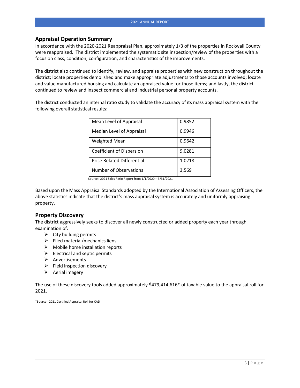#### **Appraisal Operation Summary**

In accordance with the 2020-2021 Reappraisal Plan, approximately 1/3 of the properties in Rockwall County were reappraised. The district implemented the systematic site inspection/review of the properties with a focus on class, condition, configuration, and characteristics of the improvements.

The district also continued to identify, review, and appraise properties with new construction throughout the district; locate properties demolished and make appropriate adjustments to those accounts involved; locate and value manufactured housing and calculate an appraised value for those items; and lastly, the district continued to review and inspect commercial and industrial personal property accounts.

The district conducted an internal ratio study to validate the accuracy of its mass appraisal system with the following overall statistical results:

| Mean Level of Appraisal           | 0.9852 |
|-----------------------------------|--------|
| Median Level of Appraisal         | 0.9946 |
| <b>Weighted Mean</b>              | 0.9642 |
| Coefficient of Dispersion         | 9.0281 |
| <b>Price Related Differential</b> | 1.0218 |
| Number of Observations            | 3,569  |

Source: 2021 Sales Ratio Report from 1/1/2020 – 3/31/2021

Based upon the Mass Appraisal Standards adopted by the International Association of Assessing Officers, the above statistics indicate that the district's mass appraisal system is accurately and uniformly appraising property.

#### **Property Discovery**

The district aggressively seeks to discover all newly constructed or added property each year through examination of:

- $\triangleright$  City building permits
- $\triangleright$  Filed material/mechanics liens
- $\triangleright$  Mobile home installation reports
- $\triangleright$  Electrical and septic permits
- ➢ Advertisements
- ➢ Field inspection discovery
- $\triangleright$  Aerial imagery

The use of these discovery tools added approximately \$479,414,616\* of taxable value to the appraisal roll for 2021.

\*Source: 2021 Certified Appraisal Roll for CAD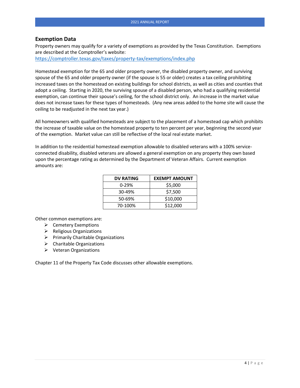#### **Exemption Data**

Property owners may qualify for a variety of exemptions as provided by the Texas Constitution. Exemptions are described at the Comptroller's website:

<https://comptroller.texas.gov/taxes/property-tax/exemptions/index.php>

Homestead exemption for the 65 and older property owner, the disabled property owner, and surviving spouse of the 65 and older property owner (if the spouse is 55 or older) creates a tax ceiling prohibiting increased taxes on the homestead on existing buildings for school districts, as well as cities and counties that adopt a ceiling. Starting in 2020, the surviving spouse of a disabled person, who had a qualifying residential exemption, can continue their spouse's ceiling, for the school district only. An increase in the market value does not increase taxes for these types of homesteads. (Any new areas added to the home site will cause the ceiling to be readjusted in the next tax year.)

All homeowners with qualified homesteads are subject to the placement of a homestead cap which prohibits the increase of taxable value on the homestead property to ten percent per year, beginning the second year of the exemption. Market value can still be reflective of the local real estate market.

In addition to the residential homestead exemption allowable to disabled veterans with a 100% serviceconnected disability, disabled veterans are allowed a general exemption on any property they own based upon the percentage rating as determined by the Department of Veteran Affairs. Current exemption amounts are:

| <b>DV RATING</b> | <b>EXEMPT AMOUNT</b> |  |
|------------------|----------------------|--|
| $0 - 29%$        | \$5,000              |  |
| 30-49%           | \$7,500              |  |
| 50-69%           | \$10,000             |  |
| 70-100%          | \$12,000             |  |

Other common exemptions are:

- ➢ Cemetery Exemptions
- ➢ Religious Organizations
- ➢ Primarily Charitable Organizations
- $\triangleright$  Charitable Organizations
- ➢ Veteran Organizations

Chapter 11 of the Property Tax Code discusses other allowable exemptions.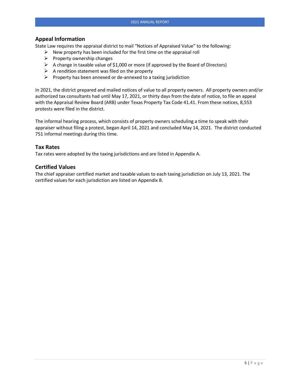#### **Appeal Information**

State Law requires the appraisal district to mail "Notices of Appraised Value" to the following:

- $\triangleright$  New property has been included for the first time on the appraisal roll
- $\triangleright$  Property ownership changes
- ➢ A change in taxable value of \$1,000 or more (if approved by the Board of Directors)
- $\triangleright$  A rendition statement was filed on the property
- $\triangleright$  Property has been annexed or de-annexed to a taxing jurisdiction

In 2021, the district prepared and mailed notices of value to all property owners. All property owners and/or authorized tax consultants had until May 17, 2021, or thirty days from the date of notice, to file an appeal with the Appraisal Review Board (ARB) under Texas Property Tax Code 41.41. From these notices, 8,553 protests were filed in the district.

The informal hearing process, which consists of property owners scheduling a time to speak with their appraiser without filing a protest, began April 14, 2021 and concluded May 14, 2021. The district conducted 751 informal meetings during this time.

#### **Tax Rates**

Tax rates were adopted by the taxing jurisdictions and are listed in Appendix A.

#### **Certified Values**

The chief appraiser certified market and taxable values to each taxing jurisdiction on July 13, 2021. The certified values for each jurisdiction are listed on Appendix B.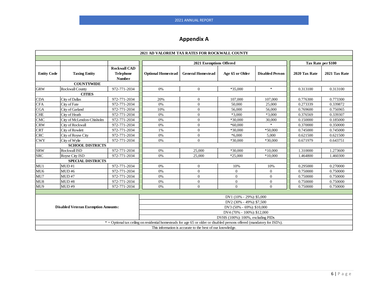# **Appendix A**

| 2021 AD VALOREM TAX RATES FOR ROCKWALL COUNTY                                                                             |                                                                         |                     |                           |                          |                 |                        |               |                    |
|---------------------------------------------------------------------------------------------------------------------------|-------------------------------------------------------------------------|---------------------|---------------------------|--------------------------|-----------------|------------------------|---------------|--------------------|
|                                                                                                                           |                                                                         |                     |                           |                          |                 |                        |               |                    |
|                                                                                                                           |                                                                         |                     |                           | 2021 Exemptions Offered  |                 |                        |               | Tax Rate per \$100 |
|                                                                                                                           |                                                                         | <b>Rockwall CAD</b> |                           |                          |                 |                        |               |                    |
| <b>Entity Code</b>                                                                                                        | <b>Taxing Entity</b>                                                    | <b>Telephone</b>    | <b>Optional Homestead</b> | <b>General Homestead</b> | Age 65 or Older | <b>Disabled Person</b> | 2020 Tax Rate | 2021 Tax Rate      |
|                                                                                                                           |                                                                         | <b>Number</b>       |                           |                          |                 |                        |               |                    |
|                                                                                                                           | <b>COUNTYWIDE</b>                                                       |                     |                           |                          |                 | $*$                    |               |                    |
| <b>GRW</b>                                                                                                                | Rockwall County                                                         | 972-771-2034        | 0%                        | $\overline{0}$           | *35,000         |                        | 0.313100      | 0.313100           |
|                                                                                                                           | <b>CITIES</b>                                                           |                     |                           |                          |                 |                        |               |                    |
| <b>CDA</b>                                                                                                                | City of Dallas                                                          | 972-771-2034        | 20%                       | $\mathbf{0}$             | 107,000         | 107,000                | 0.776300      | 0.773300           |
| <b>CFA</b>                                                                                                                | City of Fate                                                            | 972-771-2034        | 0%                        | $\overline{0}$           | 50,000          | 25,000                 | 0.273339      | 0.339872           |
| <b>CGA</b>                                                                                                                | City of Garland                                                         | 972-771-2034        | 10%                       | $\overline{0}$           | 56,000          | 56,000                 | 0.769600      | 0.756965           |
| <b>CHE</b>                                                                                                                | City of Heath                                                           | 972-771-2034        | 0%                        | $\overline{0}$           | $*3,000$        | *3,000                 | 0.376569      | 0.339307           |
| <b>CMC</b>                                                                                                                | City of McLendon-Chisholm                                               | 972-771-2034        | 0%                        | $\overline{0}$           | *30,000         | 30,000                 | 0.150000      | 0.185000           |
| <b>CRW</b>                                                                                                                | City of Rockwall                                                        | 972-771-2034        | 0%                        | $\mathbf{0}$             | $*60,000$       | sk.                    | 0.370000      | 0.350000           |
| <b>CRT</b>                                                                                                                | City of Rowlett                                                         | 972-771-2034        | 1%                        | $\overline{0}$           | *30,000         | $*50,000$              | 0.745000      | 0.745000           |
| <b>CRC</b>                                                                                                                | City of Royse City                                                      | 972-771-2034        | 0%                        | $\overline{0}$           | $*6,000$        | 5.000                  | 0.621500      | 0.621500           |
| <b>CWY</b>                                                                                                                | City of Wylie                                                           | 972-771-2034        | 0%                        | $\overline{0}$           | *30,000         | *30,000                | 0.671979      | 0.643751           |
| <b>SCHOOL DISTRICTS</b>                                                                                                   |                                                                         |                     |                           |                          |                 |                        |               |                    |
| <b>SRW</b>                                                                                                                | Rockwall ISD                                                            | 972-771-2034        | 0%                        | 25,000                   | *30,000         | $*10,000$              | 1.310000      | 1.273600           |
| <b>SRC</b>                                                                                                                | Royse City ISD                                                          | 972-771-2034        | 0%                        | 25,000                   | $*25,000$       | $*10,000$              | 1.464800      | 1.460300           |
|                                                                                                                           | <b>SPECIAL DISTRICTS</b>                                                |                     |                           |                          |                 |                        |               |                    |
| MU1                                                                                                                       | MUD#1                                                                   | 972-771-2034        | 0%                        | $\overline{0}$           | 10%             | 10%                    | 0.295000      | 0.270000           |
| MU <sub>6</sub>                                                                                                           | MUD#6                                                                   | 972-771-2034        | 0%                        | $\overline{0}$           | $\overline{0}$  | $\overline{0}$         | 0.750000      | 0.750000           |
| MU7                                                                                                                       | MUD#7                                                                   | 972-771-2034        | 0%                        | $\overline{0}$           | $\overline{0}$  | $\mathbf{0}$           | 0.750000      | 0.750000           |
| MU8                                                                                                                       | MUD#8                                                                   | 972-771-2034        | 0%                        | $\overline{0}$           | $\overline{0}$  | $\overline{0}$         | 0.750000      | 0.750000           |
| MU9                                                                                                                       | MUD#9                                                                   | 972-771-2034        | 0%                        | $\Omega$                 | $\Omega$        | $\Omega$               | 0.750000      | 0.750000           |
|                                                                                                                           |                                                                         |                     |                           |                          |                 |                        |               |                    |
| DV1 (10% - 29%): \$5,000                                                                                                  |                                                                         |                     |                           |                          |                 |                        |               |                    |
| DV2 (30% - 49%): \$7,500                                                                                                  |                                                                         |                     |                           |                          |                 |                        |               |                    |
|                                                                                                                           | <b>Disabled Veteran Exemption Amounts:</b><br>DV3 (50% - 69%): \$10,000 |                     |                           |                          |                 |                        |               |                    |
| DV4 (70% - 100%): \$12,000                                                                                                |                                                                         |                     |                           |                          |                 |                        |               |                    |
| DVHS (100%): 100%, excluding PIDs                                                                                         |                                                                         |                     |                           |                          |                 |                        |               |                    |
| * = Optional tax ceiling on residential homesteads for age 65 or older or disabled persons offered (mandatory for ISD's). |                                                                         |                     |                           |                          |                 |                        |               |                    |
| This information is accurate to the best of our knowledge.                                                                |                                                                         |                     |                           |                          |                 |                        |               |                    |